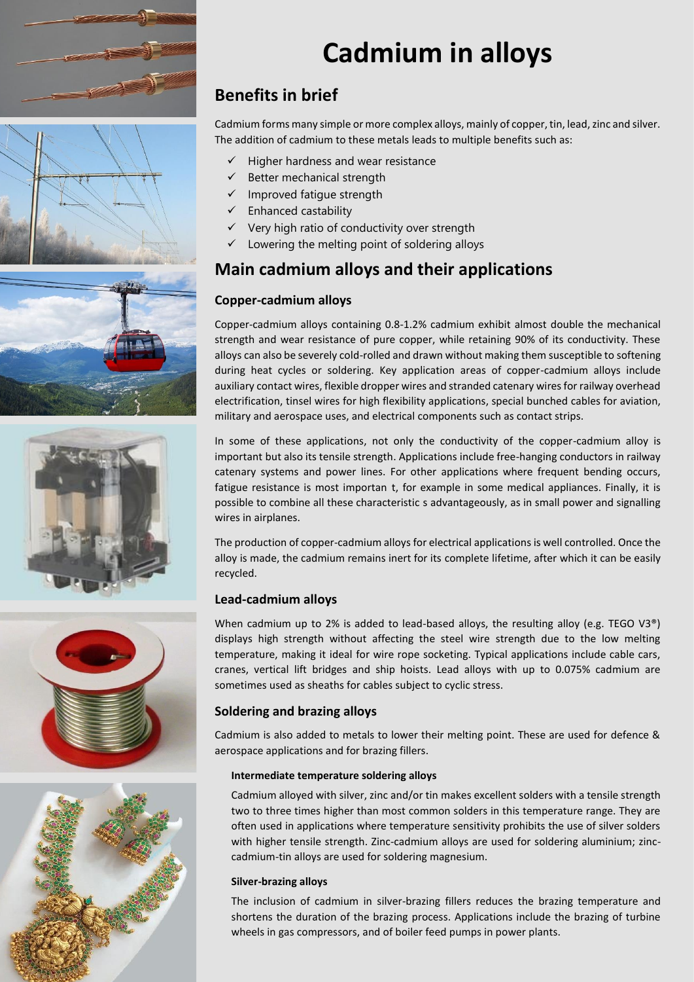









# **Cadmium in alloys**

# **Benefits in brief**

Cadmium forms many simple or more complex alloys, mainly of copper, tin, lead, zinc and silver. The addition of cadmium to these metals leads to multiple benefits such as:

- Higher hardness and wear resistance
- $\checkmark$  Better mechanical strength
- ✓ Improved fatigue strength
- $\checkmark$  Enhanced castability
- ✓ Very high ratio of conductivity over strength
- Lowering the melting point of soldering alloys

## **Main cadmium alloys and their applications**

### **Copper-cadmium alloys**

Copper-cadmium alloys containing 0.8-1.2% cadmium exhibit almost double the mechanical strength and wear resistance of pure copper, while retaining 90% of its conductivity. These alloys can also be severely cold-rolled and drawn without making them susceptible to softening during heat cycles or soldering. Key application areas of copper-cadmium alloys include auxiliary contact wires, flexible dropper wires and stranded catenary wires for railway overhead electrification, tinsel wires for high flexibility applications, special bunched cables for aviation, military and aerospace uses, and electrical components such as contact strips.

In some of these applications, not only the conductivity of the copper-cadmium alloy is important but also its tensile strength. Applications include free-hanging conductors in railway catenary systems and power lines. For other applications where frequent bending occurs, fatigue resistance is most importan t, for example in some medical appliances. Finally, it is possible to combine all these characteristic s advantageously, as in small power and signalling wires in airplanes.

The production of copper-cadmium alloys for electrical applications is well controlled. Once the alloy is made, the cadmium remains inert for its complete lifetime, after which it can be easily recycled.

#### **Lead-cadmium alloys**

When cadmium up to 2% is added to lead-based alloys, the resulting alloy (e.g. TEGO V3<sup>®</sup>) displays high strength without affecting the steel wire strength due to the low melting temperature, making it ideal for wire rope socketing. Typical applications include cable cars, cranes, vertical lift bridges and ship hoists. Lead alloys with up to 0.075% cadmium are sometimes used as sheaths for cables subject to cyclic stress.

#### **Soldering and brazing alloys**

Cadmium is also added to metals to lower their melting point. These are used for defence & aerospace applications and for brazing fillers.

#### **Intermediate temperature soldering alloys**

Cadmium alloyed with silver, zinc and/or tin makes excellent solders with a tensile strength two to three times higher than most common solders in this temperature range. They are often used in applications where temperature sensitivity prohibits the use of silver solders with higher tensile strength. Zinc-cadmium alloys are used for soldering aluminium; zinccadmium-tin alloys are used for soldering magnesium.

#### **Silver-brazing alloys**

The inclusion of cadmium in silver-brazing fillers reduces the brazing temperature and shortens the duration of the brazing process. Applications include the brazing of turbine wheels in gas compressors, and of boiler feed pumps in power plants.